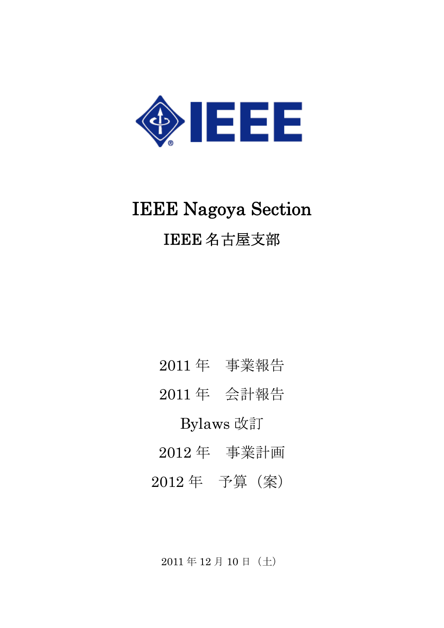

# IEEE Nagoya Section IEEE 名古屋支部

- 年 事業報告
- 年 会計報告

## Bylaws 改訂

- 年 事業計画
- 年 予算(案)

年 12 月 10 日(土)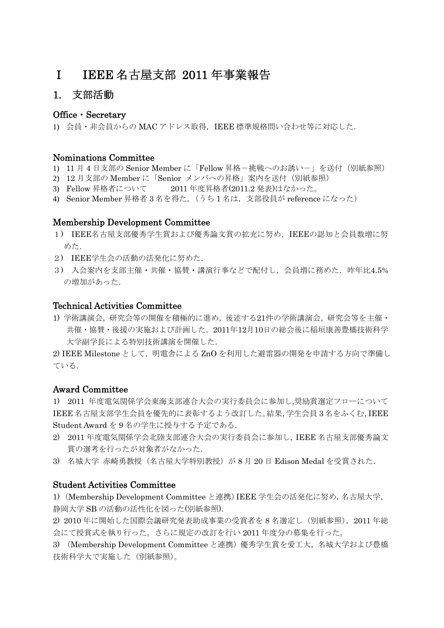### Ⅰ IEEE 名古屋支部 2011 年事業報告

### 1. 支部活動

### Office・Secretary

1) 会員・非会員からの MAC アドレス取得,IEEE 標準規格問い合わせ等に対応した.

#### Nominations Committee

- 1) 11 月 4 日支部の Senior Member に「Fellow 昇格-挑戦へのお誘い-」を送付(別紙参照)
- 2) 12 月支部の Member に「Senior メンバへの昇格」案内を送付(別紙参照)
- 3) Fellow 昇格者について 2011 年度昇格者(2011.2 発表)はなかった。
- 4) Senior Member 昇格者 3 名を得た。(うち 1 名は,支部役員が reference になった)

#### Membership Development Committee

- 1) IEEE名古屋支部優秀学生賞および優秀論文賞の拡充に努め,IEEEの認知と会員数増に努 めた.
- 2) IEEE学生会の活動の活発化に努めた.
- 3) 入会案内を支部主催・共催・協賛・講演行事などで配付し、会員増に務めた. 昨年比4.5% の増加があった.

### Technical Activities Committee

1) 学術講演会,研究会等の開催を積極的に進め,後述する21件の学術講演会,研究会等を主催・ 共催・協賛・後援の実施および計画した.2011年12月10日の総会後に稲垣康善豊橋技術科学 大学副学長による特別技術講演を開催した.

2) IEEE Milestone として, 明電舎による ZnO を利用した避雷器の開発を申請する方向で準備し ている.

#### Award Committee

1) 2011 年度電気関係学会東海支部連合大会の実行委員会に参加し,奨励賞選定フローについて IEEE 名古屋支部学生会員を優先的に表彰するよう改訂した。結果,学生会員 3 名をふくむ,IEEE Student Award を 9 名の学生に授与する予定である.

- 2) 2011 年度電気関係学会北陸支部連合大会の実行委員会に参加し,IEEE 名古屋支部優秀論文 賞の選考を行ったが対象者がなかった.
- 3) 名城大学 赤崎勇教授(名古屋大学特別教授)が 8 月 20 日 Edison Medal を受賞された.

#### Student Activities Committee

1) (Membership Development Committee と連携)IEEE 学生会の活発化に努め,名古屋大学, 静岡大学 SB の活動の活性化を図った(別紙参照).

2) 2010 年に開始した国際会議研究発表助成事業の受賞者を 8 名選定し(別紙参照),2011 年総 会にて授賞式を執り行った。さらに規定の改訂を行い 2011 年度分の募集を行った。

3) (Membership Development Committee と連携)優秀学生賞を愛工大,名城大学および豊橋 技術科学大で実施した(別紙参照)。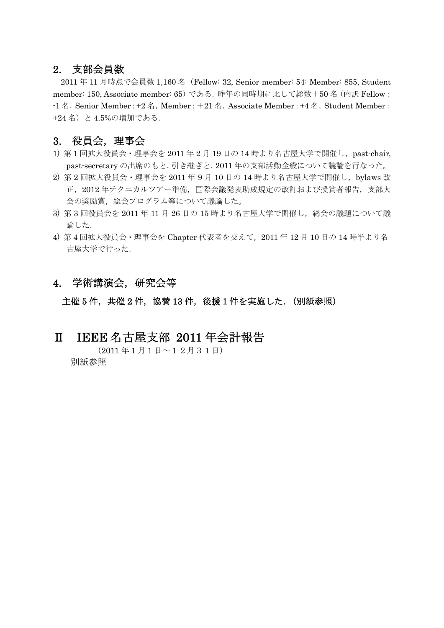### 2. 支部会員数

2011 年 11 月時点で会員数 1,160 名(Fellow: 32, Senior member: 54: Member: 855, Student member: 150, Associate member: 65)である.昨年の同時期に比して総数+50 名(内訳 Fellow:  $-1$   $\&$ , Senior Member: +2  $\&$ , Member: +21  $\&$ , Associate Member: +4  $\&$ , Student Member: +24 名)と 4.5%の増加である.

### 3. 役員会,理事会

- 1) 第1回拡大役員会·理事会を 2011 年 2 月 19 日の 14 時より名古屋大学で開催し, past-chair, past-secretary の出席のもと,引き継ぎと,2011 年の支部活動全般について議論を行なった。
- 2) 第 2 回拡大役員会・理事会を 2011 年 9 月 10 日の 14 時より名古屋大学で開催し,bylaws 改 正,2012 年テクニカルツアー準備,国際会議発表助成規定の改訂および授賞者報告,支部大 会の奨励賞,総会プログラム等について議論した。
- 3) 第 3 回役員会を 2011 年 11 月 26 日の 15 時より名古屋大学で開催し,総会の議題について議 論した.
- 4) 第 4 回拡大役員会・理事会を Chapter 代表者を交えて,2011 年 12 月 10 日の 14 時半より名 古屋大学で行った.

### 4. 学術講演会,研究会等

主催 5件,共催 2件,協賛 13件,後援1件を実施した. (別紙参照)

### Ⅱ IEEE 名古屋支部 2011 年会計報告

(2011 年1月1日~12月31日) 別紙参照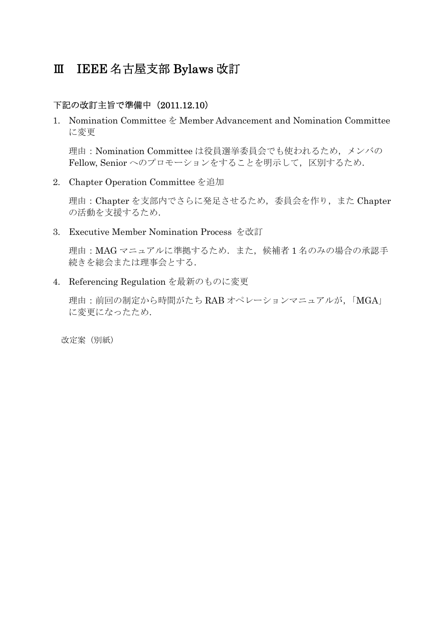### Ⅲ IEEE 名古屋支部 Bylaws 改訂

### 下記の改訂主旨で準備中(2011.12.10)

1. Nomination Committee を Member Advancement and Nomination Committee に変更

理由:Nomination Committee は役員選挙委員会でも使われるため,メンバの Fellow, Senior へのプロモーションをすることを明示して、区別するため.

2. Chapter Operation Committee を追加

理由:Chapter を支部内でさらに発足させるため,委員会を作り,また Chapter の活動を支援するため.

3. Executive Member Nomination Process を改訂

理由: MAG マニュアルに準拠するため. また、候補者1名のみの場合の承認手 続きを総会または理事会とする.

4. Referencing Regulation を最新のものに変更

理由:前回の制定から時間がたち RAB オペレーションマニュアルが,「MGA」 に変更になったため.

改定案(別紙)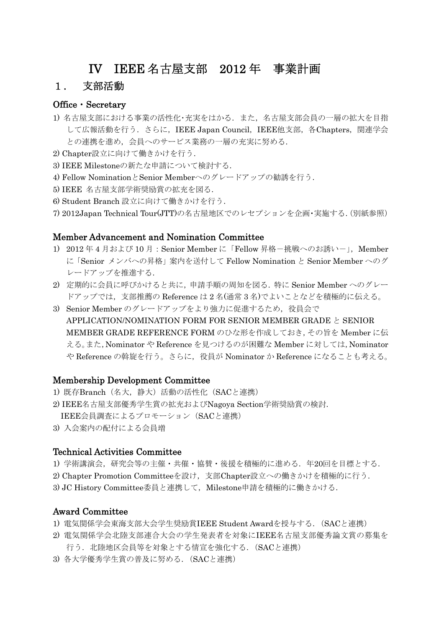### IV IEEE 名古屋支部 2012 年 事業計画

### 1. 支部活動

### Office・Secretary

- 1) 名古屋支部における事業の活性化·充実をはかる. また、名古屋支部会員の一層の拡大を目指 して広報活動を行う. さらに, IEEE Japan Council, IEEE他支部, 各Chapters, 関連学会 との連携を進め、会員へのサービス業務の一層の充実に努める.
- 2) Chapter設立に向けて働きかけを行う.
- 3) IEEE Milestoneの新たな申請について検討する.
- 4) Fellow NominationとSenior Memberへのグレードアップの勧誘を行う.
- 5) IEEE 名古屋支部学術奨励賞の拡充を図る.
- 6) Student Branch 設立に向けて働きかけを行う.
- 7) 2012Japan Technical Tour(JTT)の名古屋地区でのレセプションを企画・実施する.(別紙参照)

### Member Advancement and Nomination Committee

- 1) 2012年4月および10月: Senior Member に「Fellow 昇格-挑戦へのお誘い-」, Member に「Senior メンバへの昇格」案内を送付して Fellow Nomination と Senior Member へのグ レードアップを推進する.
- 2) 定期的に会員に呼びかけると共に,申請手順の周知を図る.特に Senior Member へのグレー ドアップでは,支部推薦の Reference は 2 名(通常 3 名)でよいことなどを積極的に伝える。
- 3) Senior Member のグレードアップをより強力に促進するため、役員会で APPLICATION/NOMINATION FORM FOR SENIOR MEMBER GRADE  $\geq$  SENIOR MEMBER GRADE REFERENCE FORM のひな形を作成しておき,その旨を Member に伝 える。また,Nominator や Reference を見つけるのが困難な Member に対しては,Nominator や Reference の斡旋を行う。さらに、役員が Nominator か Reference になることも考える。

### Membership Development Committee

- 1) 既存Branch(名大,静大)活動の活性化(SACと連携)
- 2) IEEE名古屋支部優秀学生賞の拡充およびNagoya Section学術奨励賞の検討. IEEE会員調査によるプロモーション(SACと連携)
- 3) 入会案内の配付による会員増

#### Technical Activities Committee

- 1) 学術講演会,研究会等の主催·共催·協賛·後援を積極的に進める. 年20回を目標とする.
- 2) Chapter Promotion Committeeを設け,支部Chapter設立への働きかけを積極的に行う.
- 3) JC History Committee委員と連携して、Milestone申請を積極的に働きかける.

### Award Committee

- 1) 電気関係学会東海支部大会学生奨励賞IEEE Student Awardを授与する.(SACと連携)
- 2) 電気関係学会北陸支部連合大会の学生発表者を対象にIEEE名古屋支部優秀論文賞の募集を 行う. 北陸地区会員等を対象とする情宣を強化する. (SACと連携)
- 3) 各大学優秀学生賞の普及に努める.(SACと連携)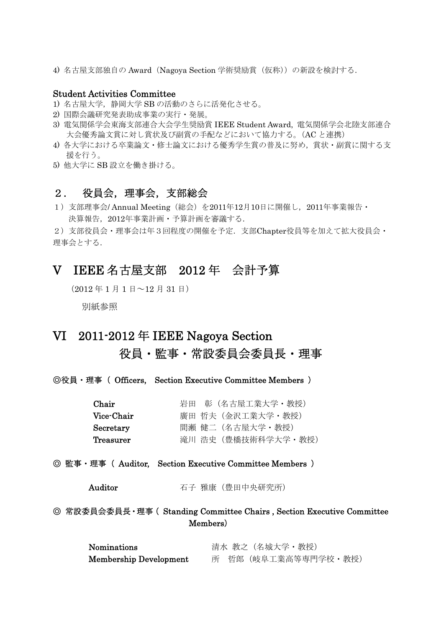4) 名古屋支部独自の Award (Nagoya Section 学術奨励賞 (仮称)) の新設を検討する.

### Student Activities Committee

- 1) 名古屋大学,静岡大学 SB の活動のさらに活発化させる。
- 2) 国際会議研究発表助成事業の実行・発展。
- 3) 電気関係学会東海支部連合大会学生奨励賞 IEEE Student Award, 電気関係学会北陸支部連合 大会優秀論文賞に対し賞状及び副賞の手配などにおいて協力する。(AC と連携)
- 4) 各大学における卒業論文・修士論文における優秀学生賞の普及に努め,賞状・副賞に関する支 援を行う。
- 5) 他大学に SB 設立を働き掛ける。

### 2. 役員会,理事会,支部総会

1) 支部理事会/ Annual Meeting (総会) を2011年12月10日に開催し、2011年事業報告・ 決算報告,2012年事業計画・予算計画を審議する.

2)支部役員会・理事会は年3回程度の開催を予定.支部Chapter役員等を加えて拡大役員会・ 理事会とする.

### V IEEE 名古屋支部 2012 年 会計予算

(<sup>2012</sup> <sup>年</sup> <sup>1</sup> <sup>月</sup> <sup>1</sup> 日~<sup>12</sup> <sup>月</sup> <sup>31</sup> 日)

別紙参照

### VI 2011-2012 年 IEEE Nagoya Section 役員・監事・常設委員会委員長・理事

◎役員・理事( Officers, Section Executive Committee Members )

| Chair      | 岩田 彰 (名古屋工業大学・教授)   |
|------------|---------------------|
| Vice-Chair | 廣田 哲夫(金沢工業大学・教授)    |
| Secretary  | 間瀬 健二(名古屋大学・教授)     |
| Treasurer  | 滝川 浩史 (豊橋技術科学大学・教授) |

### ◎ 監事・理事( Auditor, Section Executive Committee Members )

Auditor 石子 雅康 (豊田中央研究所)

◎ 常設委員会委員長・理事( Standing Committee Chairs , Section Executive Committee Members)

| <b>Nominations</b>     | 清水 教之(名城大学・教授)      |  |
|------------------------|---------------------|--|
| Membership Development | 所 哲郎(岐阜工業高等専門学校・教授) |  |